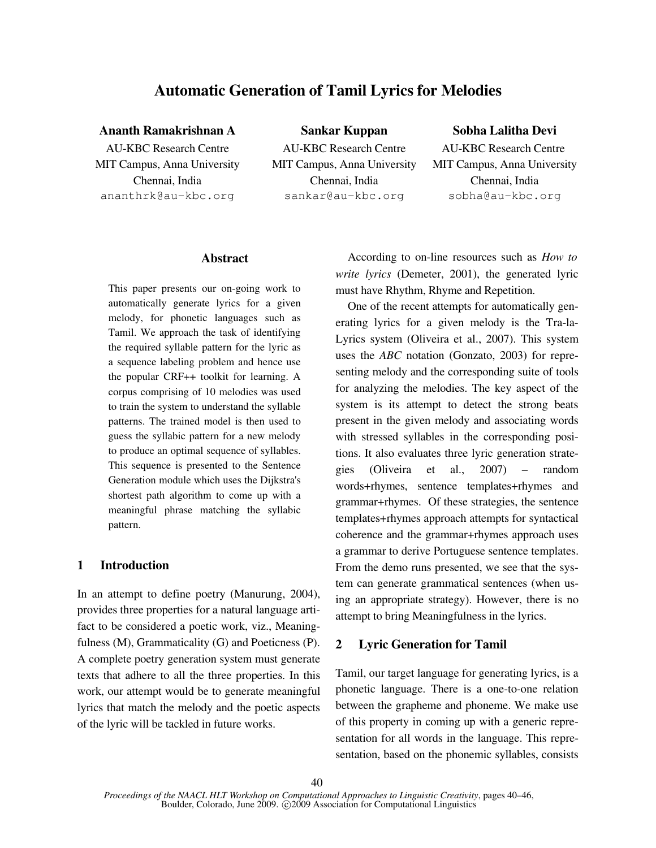# Automatic Generation of Tamil Lyrics for Melodies

Ananth Ramakrishnan A Sankar Kuppan Sobha Lalitha Devi

**AU-KBC Research Centre** MIT Campus, Anna University Chennai, India

**AU-KBC Research Centre** MIT Campus, Anna University Chennai, India ananthrk@au-kbc.org sankar@au-kbc.org sobha@au-kbc.org

**AU-KBC Research Centre** MIT Campus, Anna University Chennai, India

# Abstract

This paper presents our on-going work to automatically generate lyrics for a given melody, for phonetic languages such as Tamil. We approach the task of identifying the required syllable pattern for the lyric as a sequence labeling problem and hence use the popular CRF++ toolkit for learning. A corpus comprising of 10 melodies was used to train the system to understand the syllable patterns. The trained model is then used to guess the syllabic pattern for a new melody to produce an optimal sequence of syllables. This sequence is presented to the Sentence Generation module which uses the Dijkstra's shortest path algorithm to come up with a meaningful phrase matching the syllabic pattern.

# 1 Introduction

In an attempt to define poetry (Manurung, 2004), provides three properties for a natural language artifact to be considered a poetic work, viz., Meaningfulness (M), Grammaticality (G) and Poeticness (P). A complete poetry generation system must generate texts that adhere to all the three properties. In this work, our attempt would be to generate meaningful lyrics that match the melody and the poetic aspects of the lyric will be tackled in future works.

According to on-line resources such as *How to write lyrics* (Demeter, 2001), the generated lyric must have Rhythm, Rhyme and Repetition.

One of the recent attempts for automatically generating lyrics for a given melody is the Tra-la-Lyrics system (Oliveira et al., 2007). This system uses the *ABC* notation (Gonzato, 2003) for representing melody and the corresponding suite of tools for analyzing the melodies. The key aspect of the system is its attempt to detect the strong beats present in the given melody and associating words with stressed syllables in the corresponding positions. It also evaluates three lyric generation strategies (Oliveira et al., 2007) – random words+rhymes, sentence templates+rhymes and grammar+rhymes. Of these strategies, the sentence templates+rhymes approach attempts for syntactical coherence and the grammar+rhymes approach uses a grammar to derive Portuguese sentence templates. From the demo runs presented, we see that the system can generate grammatical sentences (when using an appropriate strategy). However, there is no attempt to bring Meaningfulness in the lyrics.

# 2 Lyric Generation for Tamil

Tamil, our target language for generating lyrics, is a phonetic language. There is a one-to-one relation between the grapheme and phoneme. We make use of this property in coming up with a generic representation for all words in the language. This representation, based on the phonemic syllables, consists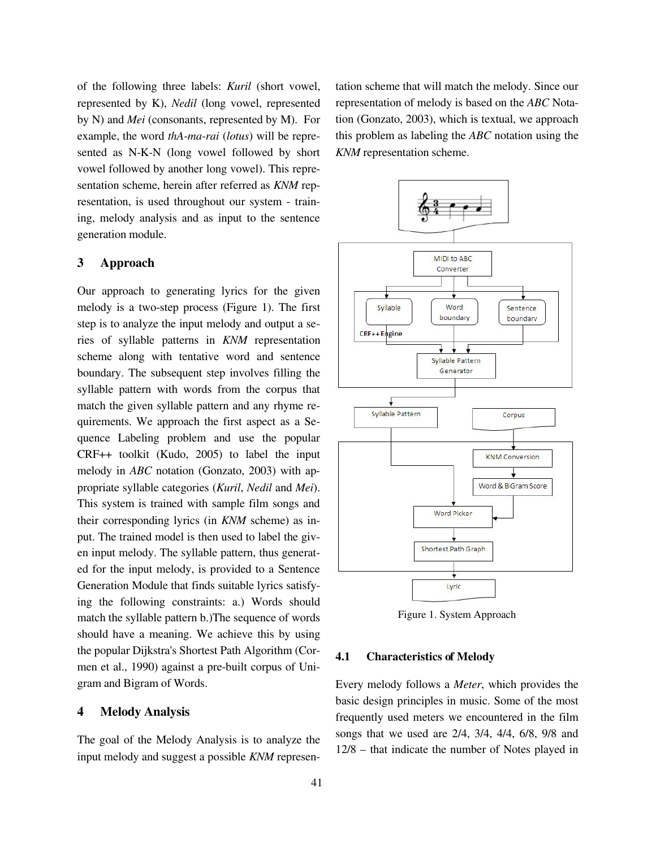of the following three labels: *Kuril* (short vowel, represented by K), *Nedil* (long vowel, represented by N) and *Mei* (consonants, represented by M). For example, the word *thA-ma-rai* (*lotus*) will be represented as N-K-N (long vowel followed by short vowel followed by another long vowel). This representation scheme, herein after referred as *KNM* representation, is used throughout our system - training, melody analysis and as input to the sentence generation module.

#### 3 Approach

Our approach to generating lyrics for the given melody is a two-step process (Figure 1). The first step is to analyze the input melody and output a series of syllable patterns in *KNM* representation scheme along with tentative word and sentence boundary. The subsequent step involves filling the syllable pattern with words from the corpus that match the given syllable pattern and any rhyme requirements. We approach the first aspect as a Sequence Labeling problem and use the popular CRF++ toolkit (Kudo, 2005) to label the input melody in *ABC* notation (Gonzato, 2003) with appropriate syllable categories (*Kuril*, *Nedil* and *Mei*). This system is trained with sample film songs and their corresponding lyrics (in *KNM* scheme) as input. The trained model is then used to label the given input melody. The syllable pattern, thus generated for the input melody, is provided to a Sentence Generation Module that finds suitable lyrics satisfying the following constraints: a.) Words should match the syllable pattern b.)The sequence of words should have a meaning. We achieve this by using the popular Dijkstra's Shortest Path Algorithm (Cormen et al., 1990) against a pre-built corpus of Unigram and Bigram of Words.

#### 4 Melody Analysis

The goal of the Melody Analysis is to analyze the input melody and suggest a possible *KNM* representation scheme that will match the melody. Since our representation of melody is based on the *ABC* Notation (Gonzato, 2003), which is textual, we approach this problem as labeling the *ABC* notation using the *KNM* representation scheme.



Figure 1. System Approach

#### 4.1 Characteristics of Melody

Every melody follows a *Meter*, which provides the basic design principles in music. Some of the most frequently used meters we encountered in the film songs that we used are 2/4, 3/4, 4/4, 6/8, 9/8 and 12/8 – that indicate the number of Notes played in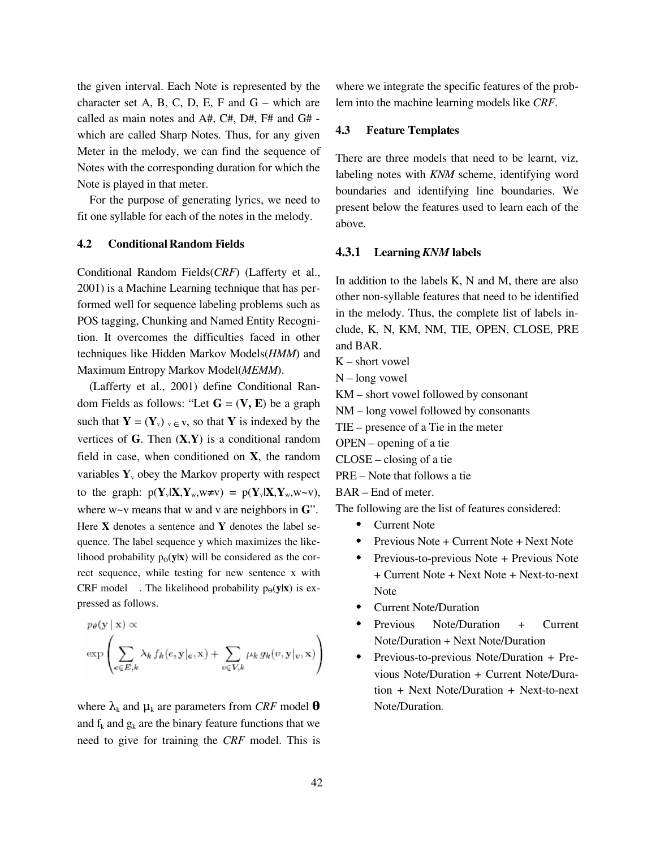the given interval. Each Note is represented by the character set A, B, C, D, E, F and  $G$  – which are called as main notes and A#, C#, D#, F# and G# which are called Sharp Notes. Thus, for any given Meter in the melody, we can find the sequence of Notes with the corresponding duration for which the Note is played in that meter.

For the purpose of generating lyrics, we need to fit one syllable for each of the notes in the melody.

#### 4.2 Conditional Random Fields

Conditional Random Fields(*CRF*) (Lafferty et al., 2001) is a Machine Learning technique that has performed well for sequence labeling problems such as POS tagging, Chunking and Named Entity Recognition. It overcomes the difficulties faced in other techniques like Hidden Markov Models(*HMM*) and Maximum Entropy Markov Model(*MEMM*).

(Lafferty et al., 2001) define Conditional Random Fields as follows: "Let  $G = (V, E)$  be a graph such that  $Y = (Y_v)_{v \in V}$ , so that Y is indexed by the vertices of  $G$ . Then  $(X,Y)$  is a conditional random field in case, when conditioned on X, the random variables  $Y_{y}$  obey the Markov property with respect to the graph:  $p(Y_v|X, Y_w, w \neq v) = p(Y_v|X, Y_w, w \sim v)$ , where  $w \sim v$  means that w and v are neighbors in  $\mathbf{G}$ ". Here  $X$  denotes a sentence and  $Y$  denotes the label sequence. The label sequence y which maximizes the likelihood probability  $p_{\theta}(y|x)$  will be considered as the correct sequence, while testing for new sentence x with CRF model . The likelihood probability  $p_{\Theta}(y|x)$  is expressed as follows.

$$
p_{\theta}(\mathbf{y} \mid \mathbf{x}) \propto
$$
  

$$
\exp \left( \sum_{e \in E, k} \lambda_k f_k(e, \mathbf{y} \mid e, \mathbf{x}) + \sum_{v \in V, k} \mu_k g_k(v, \mathbf{y} \mid v, \mathbf{x}) \right)
$$

where  $\lambda_k$  and  $\mu_k$  are parameters from *CRF* model  $\boldsymbol{\theta}$ and  $f_k$  and  $g_k$  are the binary feature functions that we need to give for training the *CRF* model. This is where we integrate the specific features of the problem into the machine learning models like *CRF*.

## 4.3 Feature Templates

There are three models that need to be learnt, viz, labeling notes with *KNM* scheme, identifying word boundaries and identifying line boundaries. We present below the features used to learn each of the above.

#### 4.3.1 Learning *KNM* labels

In addition to the labels K, N and M, there are also other nonsyllable features that need to be identified in the melody. Thus, the complete list of labels include, K, N, KM, NM, TIE, OPEN, CLOSE, PRE and BAR.

- K short vowel
- N long vowel
- KM short vowel followed by consonant
- NM long vowel followed by consonants
- TIE presence of a Tie in the meter
- OPEN opening of a tie
- CLOSE closing of a tie
- PRE Note that follows a tie

BAR – End of meter.

The following are the list of features considered:

- Current Note
- Previous Note + Current Note + Next Note
- Previous-to-previous Note + Previous Note + Current Note + Next Note + Next-to-next Note
- Current Note/Duration
- Previous Note/Duration + Current Note/Duration + Next Note/Duration
- Previous-to-previous Note/Duration + Previous Note/Duration + Current Note/Dura $tion + Next Note/Duration + Next-to-next$ Note/Duration.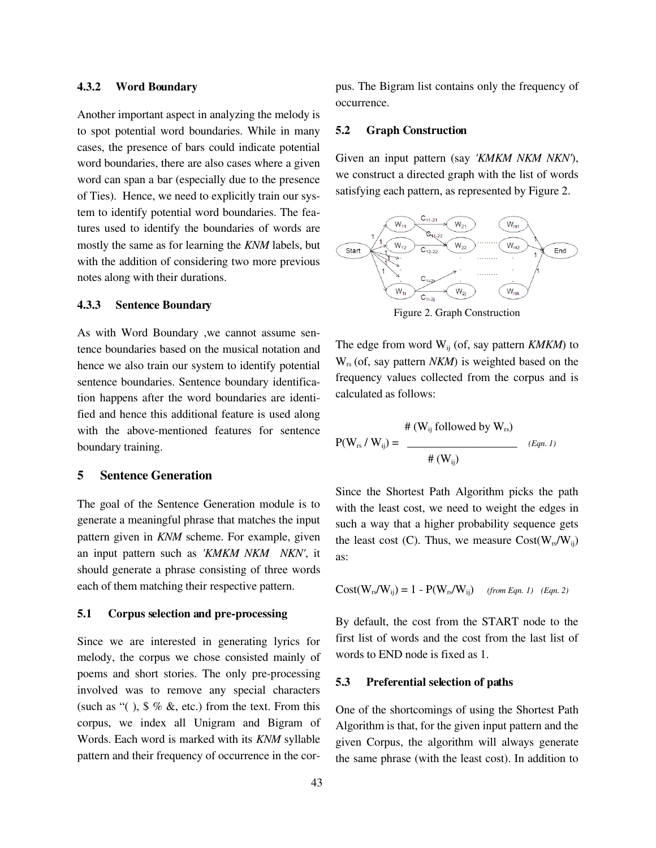#### 4.3.2 Word Boundary

Another important aspect in analyzing the melody is to spot potential word boundaries. While in many cases, the presence of bars could indicate potential word boundaries, there are also cases where a given word can span a bar (especially due to the presence of Ties). Hence, we need to explicitly train our system to identify potential word boundaries. The features used to identify the boundaries of words are mostly the same as for learning the *KNM* labels, but with the addition of considering two more previous notes along with their durations.

#### 4.3.3 Sentence Boundary

As with Word Boundary ,we cannot assume sentence boundaries based on the musical notation and hence we also train our system to identify potential sentence boundaries. Sentence boundary identification happens after the word boundaries are identified and hence this additional feature is used along with the above-mentioned features for sentence boundary training.

#### 5 Sentence Generation

The goal of the Sentence Generation module is to generate a meaningful phrase that matches the input pattern given in *KNM* scheme. For example, given an input pattern such as *'KMKM NKM NKN'*, it should generate a phrase consisting of three words each of them matching their respective pattern.

#### 5.1 Corpus selection and pre-processing

Since we are interested in generating lyrics for melody, the corpus we chose consisted mainly of poems and short stories. The only pre-processing involved was to remove any special characters (such as " $($ ),  $\frac{6}{3}$  % &, etc.) from the text. From this corpus, we index all Unigram and Bigram of Words. Each word is marked with its *KNM* syllable pattern and their frequency of occurrence in the corpus. The Bigram list contains only the frequency of occurrence.

#### 5.2 Graph Construction

Given an input pattern (say *'KMKM NKM NKN'*), we construct a directed graph with the list of words satisfying each pattern, as represented by Figure 2.



Figure 2. Graph Construction

The edge from word W<sub>ij</sub> (of, say pattern *KMKM*) to W<sub>rs</sub> (of, say pattern *NKM*) is weighted based on the frequency values collected from the corpus and is calculated as follows:

$$
P(W_{rs} / W_{ij}) = \frac{\# (W_{ij} \text{ followed by } W_{rs})}{\# (W_{ij})} \qquad (Eqn. 1)
$$

Since the Shortest Path Algorithm picks the path with the least cost, we need to weight the edges in such a way that a higher probability sequence gets the least cost (C). Thus, we measure  $Cost(W_{rs}/W_{ii})$ as:

$$
Cost(W_{rs}/W_{ij}) = 1 - P(W_{rs}/W_{ij})
$$
 (from Eqn. 1) (Eqn. 2)

By default, the cost from the START node to the first list of words and the cost from the last list of words to END node is fixed as 1.

#### 5.3 Preferential selection of paths

One of the shortcomings of using the Shortest Path Algorithm is that, for the given input pattern and the given Corpus, the algorithm will always generate the same phrase (with the least cost). In addition to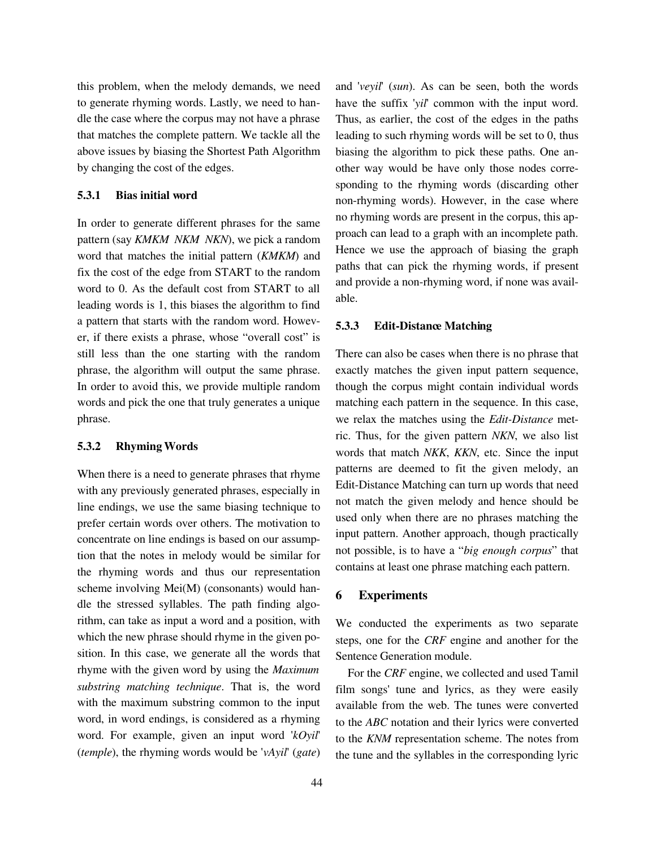this problem, when the melody demands, we need to generate rhyming words. Lastly, we need to handle the case where the corpus may not have a phrase that matches the complete pattern. We tackle all the above issues by biasing the Shortest Path Algorithm by changing the cost of the edges.

#### 5.3.1 Bias initial word

In order to generate different phrases for the same pattern (say *KMKM NKM NKN*), we pick a random word that matches the initial pattern (*KMKM*) and fix the cost of the edge from START to the random word to 0. As the default cost from START to all leading words is 1, this biases the algorithm to find a pattern that starts with the random word. However, if there exists a phrase, whose "overall cost" is still less than the one starting with the random phrase, the algorithm will output the same phrase. In order to avoid this, we provide multiple random words and pick the one that truly generates a unique phrase.

#### 5.3.2 Rhyming Words

When there is a need to generate phrases that rhyme with any previously generated phrases, especially in line endings, we use the same biasing technique to prefer certain words over others. The motivation to concentrate on line endings is based on our assumption that the notes in melody would be similar for the rhyming words and thus our representation scheme involving Mei(M) (consonants) would handle the stressed syllables. The path finding algorithm, can take as input a word and a position, with which the new phrase should rhyme in the given position. In this case, we generate all the words that rhyme with the given word by using the *Maximum substring matching technique*. That is, the word with the maximum substring common to the input word, in word endings, is considered as a rhyming word. For example, given an input word '*kOyil*' (*temple*), the rhyming words would be '*vAyil*' (*gate*) and '*veyil*' (*sun*). As can be seen, both the words have the suffix '*yil*' common with the input word. Thus, as earlier, the cost of the edges in the paths leading to such rhyming words will be set to 0, thus biasing the algorithm to pick these paths. One another way would be have only those nodes corresponding to the rhyming words (discarding other non-rhyming words). However, in the case where no rhyming words are present in the corpus, this approach can lead to a graph with an incomplete path. Hence we use the approach of biasing the graph paths that can pick the rhyming words, if present and provide a non-rhyming word, if none was available.

#### 5.3.3 Edit-Distance Matching

There can also be cases when there is no phrase that exactly matches the given input pattern sequence, though the corpus might contain individual words matching each pattern in the sequence. In this case, we relax the matches using the *Edit-Distance* metric. Thus, for the given pattern *NKN*, we also list words that match *NKK*, *KKN*, etc. Since the input patterns are deemed to fit the given melody, an Edit-Distance Matching can turn up words that need not match the given melody and hence should be used only when there are no phrases matching the input pattern. Another approach, though practically not possible, is to have a "*big enough corpus*" that contains at least one phrase matching each pattern.

### 6 Experiments

We conducted the experiments as two separate steps, one for the *CRF* engine and another for the Sentence Generation module.

For the *CRF* engine, we collected and used Tamil film songs' tune and lyrics, as they were easily available from the web. The tunes were converted to the *ABC* notation and their lyrics were converted to the *KNM* representation scheme. The notes from the tune and the syllables in the corresponding lyric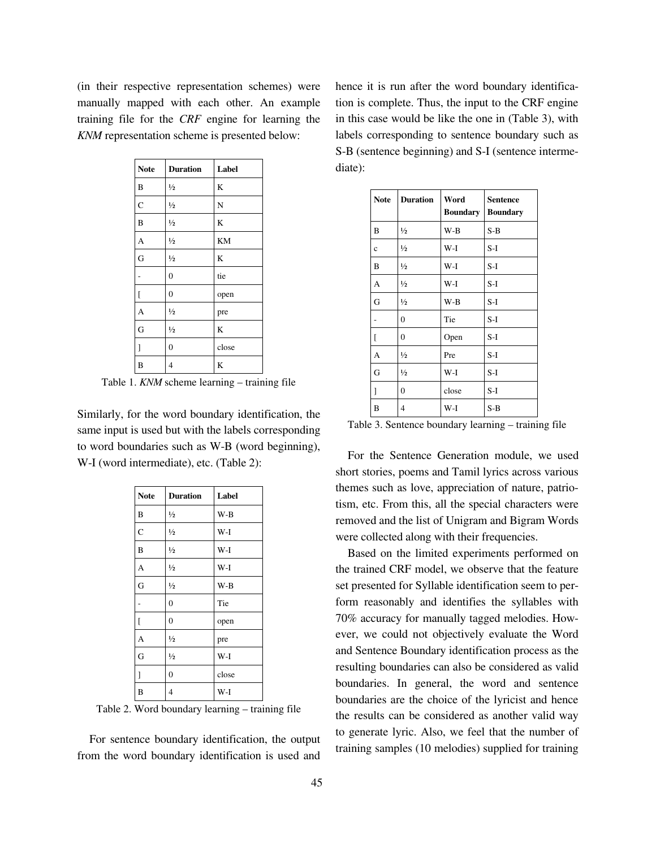(in their respective representation schemes) were manually mapped with each other. An example training file for the *CRF* engine for learning the *KNM* representation scheme is presented below:

| <b>Note</b>               | <b>Duration</b> | Label   |
|---------------------------|-----------------|---------|
| B                         | $\frac{1}{2}$   | K       |
| $\mathbf C$               | $\frac{1}{2}$   | N       |
| $\overline{B}$            | $\frac{1}{2}$   | K       |
| A                         | $\frac{1}{2}$   | KM      |
| G                         | $\frac{1}{2}$   | K       |
|                           | $\mathbf{0}$    | tie     |
| $\overline{\mathfrak{l}}$ | $\overline{0}$  | open    |
| A                         | $\frac{1}{2}$   | pre     |
| G                         | $\frac{1}{2}$   | K       |
| $\mathbf{l}$              | $\mathbf{0}$    | close   |
| B                         | 4               | $\bf K$ |

Table 1. *KNM* scheme learning – training file

Similarly, for the word boundary identification, the same input is used but with the labels corresponding to word boundaries such as W-B (word beginning), W-I (word intermediate), etc. (Table 2):

| <b>Note</b> | <b>Duration</b> | Label |
|-------------|-----------------|-------|
| B           | $\frac{1}{2}$   | $W-B$ |
| $\mathbf C$ | $\frac{1}{2}$   | W-I   |
| B           | $\frac{1}{2}$   | W-I   |
| A           | $\frac{1}{2}$   | W-I   |
| G           | $\frac{1}{2}$   | $W-B$ |
|             | $\overline{0}$  | Tie   |
| ſ           | $\overline{0}$  | open  |
| A           | $\frac{1}{2}$   | pre   |
| G           | $\frac{1}{2}$   | W-I   |
| J           | $\mathbf{0}$    | close |
| B           | $\overline{4}$  | W-I   |

Table 2. Word boundary learning – training file

For sentence boundary identification, the output from the word boundary identification is used and hence it is run after the word boundary identification is complete. Thus, the input to the CRF engine in this case would be like the one in (Table 3), with labels corresponding to sentence boundary such as S-B (sentence beginning) and S-I (sentence intermediate):

| <b>Note</b> | <b>Duration</b> | Word<br><b>Boundary</b> | <b>Sentence</b><br><b>Boundary</b> |
|-------------|-----------------|-------------------------|------------------------------------|
| B           | $\frac{1}{2}$   | $W-B$                   | $S-B$                              |
| $\ddot{c}$  | $\frac{1}{2}$   | $W-I$                   | $S-I$                              |
| B           | $\frac{1}{2}$   | W-I                     | $S-I$                              |
| A           | $\frac{1}{2}$   | W-I                     | S-I                                |
| G           | $\frac{1}{2}$   | $W-B$                   | $S-I$                              |
|             | $\overline{0}$  | Tie                     | $S-I$                              |
| L           | $\overline{0}$  | Open                    | $S-I$                              |
| A           | $\frac{1}{2}$   | Pre                     | S-I                                |
| G           | $\frac{1}{2}$   | $W-I$                   | $S-I$                              |
| 1           | $\overline{0}$  | close                   | $S-I$                              |
| B           | 4               | $W-I$                   | $S-B$                              |

Table 3. Sentence boundary learning – training file

For the Sentence Generation module, we used short stories, poems and Tamil lyrics across various themes such as love, appreciation of nature, patriotism, etc. From this, all the special characters were removed and the list of Unigram and Bigram Words were collected along with their frequencies.

Based on the limited experiments performed on the trained CRF model, we observe that the feature set presented for Syllable identification seem to perform reasonably and identifies the syllables with 70% accuracy for manually tagged melodies. However, we could not objectively evaluate the Word and Sentence Boundary identification process as the resulting boundaries can also be considered as valid boundaries. In general, the word and sentence boundaries are the choice of the lyricist and hence the results can be considered as another valid way to generate lyric. Also, we feel that the number of training samples (10 melodies) supplied for training